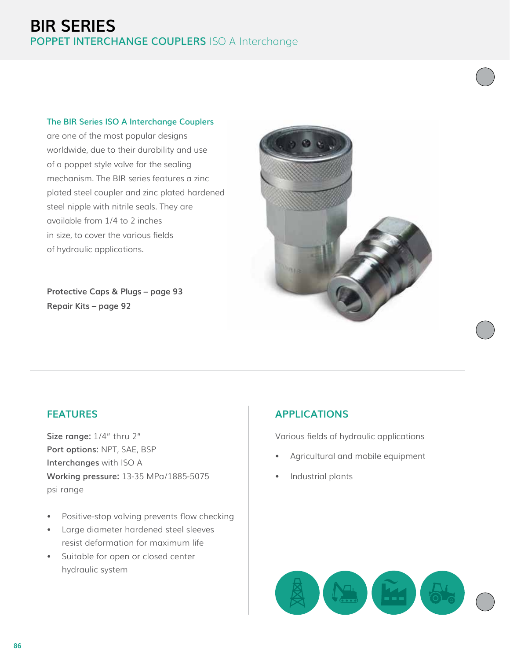# **BIR SERIES POPPET INTERCHANGE COUPLERS** ISO A Interchange

#### **The BIR Series ISO A Interchange Couplers**

are one of the most popular designs worldwide, due to their durability and use of a poppet style valve for the sealing mechanism. The BIR series features a zinc plated steel coupler and zinc plated hardened steel nipple with nitrile seals. They are available from 1/4 to 2 inches in size, to cover the various fields of hydraulic applications.

**Protective Caps & Plugs – page 93 Repair Kits – page 92**



## **FEATURES**

**Size range:** 1/4" thru 2" **Port options:** NPT, SAE, BSP **Interchanges** with ISO A **Working pressure:** 13-35 MPa/1885-5075 psi range

- Positive-stop valving prevents flow checking
- Large diameter hardened steel sleeves resist deformation for maximum life
- Suitable for open or closed center hydraulic system

## **APPLICATIONS**

Various fields of hydraulic applications

- Agricultural and mobile equipment
- Industrial plants

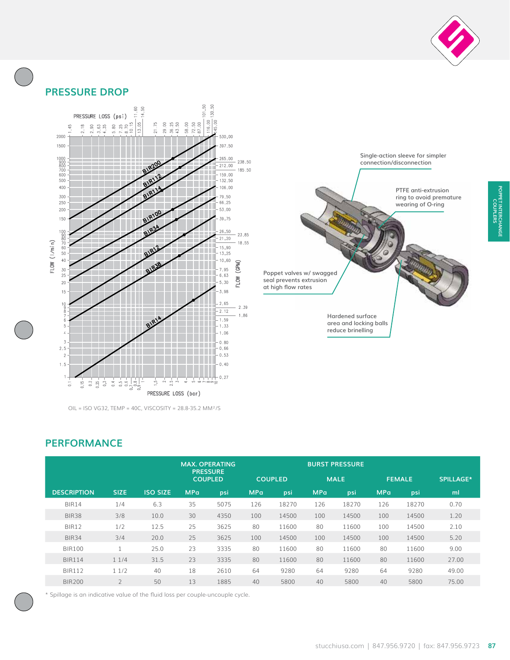

## **PRESSURE DROP**



OIL = ISO VG32, TEMP = 40C, VISCOSITY = 28.8-35.2 MM²/S



**Poppet valves w/ swagged seal prevents extrusion at high flow rates**

> **Hardened surface area and locking balls reduce brinelling**

**POPPET INTERCHANGE COUPLERS**

POPPET INTERCHANGE

### **PERFORMANCE**

|                    |                |                 |                                   | <b>MAX. OPERATING</b> |                |       |             | <b>BURST PRESSURE</b> |               |       |                  |
|--------------------|----------------|-----------------|-----------------------------------|-----------------------|----------------|-------|-------------|-----------------------|---------------|-------|------------------|
|                    |                |                 | <b>PRESSURE</b><br><b>COUPLED</b> |                       | <b>COUPLED</b> |       | <b>MALE</b> |                       | <b>FEMALE</b> |       | <b>SPILLAGE*</b> |
| <b>DESCRIPTION</b> | <b>SIZE</b>    | <b>ISO SIZE</b> | <b>MPa</b>                        | psi                   | <b>MPa</b>     | psi   | <b>MPa</b>  | psi                   | <b>MPa</b>    | psi   | ml               |
| <b>BIR14</b>       | 1/4            | 6.3             | 35                                | 5075                  | 126            | 18270 | 126         | 18270                 | 126           | 18270 | 0.70             |
| <b>BIR38</b>       | 3/8            | 10.0            | 30                                | 4350                  | 100            | 14500 | 100         | 14500                 | 100           | 14500 | 1.20             |
| <b>BIR12</b>       | 1/2            | 12.5            | 25                                | 3625                  | 80             | 11600 | 80          | 11600                 | 100           | 14500 | 2.10             |
| <b>BIR34</b>       | 3/4            | 20.0            | 25                                | 3625                  | 100            | 14500 | 100         | 14500                 | 100           | 14500 | 5.20             |
| <b>BIR100</b>      |                | 25.0            | 23                                | 3335                  | 80             | 11600 | 80          | 11600                 | 80            | 11600 | 9.00             |
| <b>BIR114</b>      | 11/4           | 31.5            | 23                                | 3335                  | 80             | 11600 | 80          | 11600                 | 80            | 11600 | 27.00            |
| <b>BIR112</b>      | 11/2           | 40              | 18                                | 2610                  | 64             | 9280  | 64          | 9280                  | 64            | 9280  | 49.00            |
| BIR200             | $\overline{2}$ | 50              | 13                                | 1885                  | 40             | 5800  | 40          | 5800                  | 40            | 5800  | 75.00            |

\* Spillage is an indicative value of the fluid loss per couple-uncouple cycle.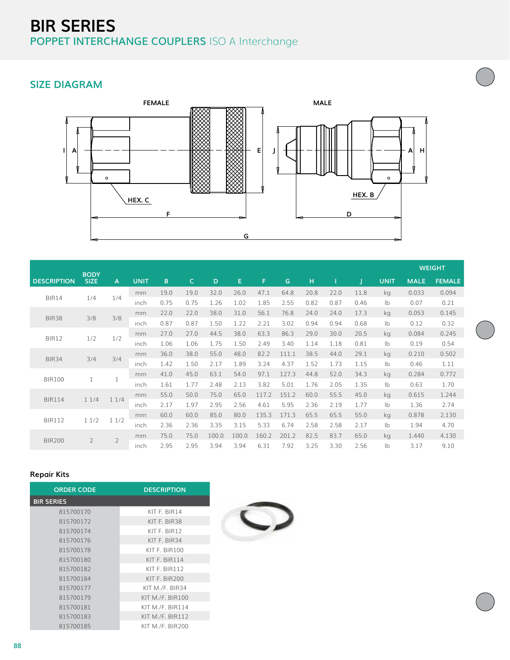# **BIR SERIES POPPET INTERCHANGE COUPLERS** ISO A Interchange

# **SIZE DIAGRAM**



|                     | <b>BODY</b>         |                |             |      |      |       |       |       |       |      |      |               |               |             | <b>WEIGHT</b> |
|---------------------|---------------------|----------------|-------------|------|------|-------|-------|-------|-------|------|------|---------------|---------------|-------------|---------------|
| <b>DESCRIPTION</b>  | <b>SIZE</b>         | A              | <b>UNIT</b> | B    | C.   | D     | E.    | F.    | G     | H    |      |               | <b>UNIT</b>   | <b>MALE</b> | <b>FEMALE</b> |
| <b>BIR14</b><br>1/4 |                     |                | mm          | 19.0 | 19.0 | 32.0  | 26.0  | 47.1  | 64.8  | 20.8 | 22.0 | 11.8          | kg            | 0.033       | 0.094         |
|                     | 1/4                 | inch           | 0.75        | 0.75 | 1.26 | 1.02  | 1.85  | 2.55  | 0.82  | 0.87 | 0.46 | $\mathsf{lb}$ | 0.07          | 0.21        |               |
|                     |                     | 3/8            | mm          | 22.0 | 22.0 | 38.0  | 31.0  | 56.1  | 76.8  | 24.0 | 24.0 | 17.3          | kg            | 0.053       | 0.145         |
|                     | 3/8<br><b>BIR38</b> |                | inch        | 0.87 | 0.87 | 1.50  | 1.22  | 2.21  | 3.02  | 0.94 | 0.94 | 0.68          | $\mathsf{lb}$ | 0.12        | 0.32          |
| 1/2<br>BIR12        | 1/2                 | mm             | 27.0        | 27.0 | 44.5 | 38.0  | 63.3  | 86.3  | 29.0  | 30.0 | 20.5 | kg            | 0.084         | 0.245       |               |
|                     |                     | inch           | 1.06        | 1.06 | 1.75 | 1.50  | 2.49  | 3.40  | 1.14  | 1.18 | 0.81 | $\mathsf{lb}$ | 0.19          | 0.54        |               |
| 3/4<br><b>BIR34</b> |                     | 3/4            | mm          | 36.0 | 38.0 | 55.0  | 48.0  | 82.2  | 111.1 | 38.5 | 44.0 | 29.1          | kg            | 0.210       | 0.502         |
|                     |                     |                | inch        | 1.42 | 1.50 | 2.17  | 1.89  | 3.24  | 4.37  | 1.52 | 1.73 | 1.15          | $\mathsf{lb}$ | 0.46        | 1.11          |
| <b>BIR100</b><br>1  |                     |                | mm          | 41.0 | 45.0 | 63.1  | 54.0  | 97.1  | 127.3 | 44.8 | 52.0 | 34.3          | kg            | 0.284       | 0.772         |
|                     |                     |                | inch        | 1.61 | 1.77 | 2.48  | 2.13  | 3.82  | 5.01  | 1.76 | 2.05 | 1.35          | $\mathsf{lb}$ | 0.63        | 1.70          |
| <b>BIR114</b>       |                     | 11/4<br>11/4   | mm          | 55.0 | 50.0 | 75.0  | 65.0  | 117.2 | 151.2 | 60.0 | 55.5 | 45.0          | kg            | 0.615       | 1.244         |
|                     |                     |                | inch        | 2.17 | 1.97 | 2.95  | 2.56  | 4.61  | 5.95  | 2.36 | 2.19 | 1.77          | $\mathsf{lb}$ | 1.36        | 2.74          |
| <b>BIR112</b>       | 11/2                | 11/2           | mm          | 60.0 | 60.0 | 85.0  | 80.0  | 135.3 | 171.3 | 65.5 | 65.5 | 55.0          | kg            | 0.878       | 2.130         |
|                     |                     |                | inch        | 2.36 | 2.36 | 3.35  | 3.15  | 5.33  | 6.74  | 2.58 | 2.58 | 2.17          | $\mathsf{lb}$ | 1.94        | 4.70          |
|                     | $\overline{2}$      | $\overline{2}$ | mm          | 75.0 | 75.0 | 100.0 | 100.0 | 160.2 | 201.2 | 82.5 | 83.7 | 65.0          | kg            | 1.440       | 4.130         |
| <b>BIR200</b>       |                     |                | inch        | 2.95 | 2.95 | 3.94  | 3.94  | 6.31  | 7.92  | 3.25 | 3.30 | 2.56          | $\mathsf{lb}$ | 3.17        | 9.10          |

#### **Repair Kits**

| <b>ORDER CODE</b> | <b>DESCRIPTION</b> |
|-------------------|--------------------|
| <b>BIR SERIES</b> |                    |
| 815700170         | KIT F. BIR14       |
| 815700172         | KIT F. BIR38       |
| 815700174         | KIT F. BIR12       |
| 815700176         | KIT F. BIR34       |
| 815700178         | KIT F. BIR100      |
| 815700180         | KIT F. BIR114      |
| 815700182         | KIT F. BIR112      |
| 815700184         | KIT F. BIR $200$   |
| 815700177         | KIT M./F. BIR34    |
| 815700179         | KIT M./F. BIR100   |
| 815700181         | KIT M./F. BIR114   |
| 815700183         | KIT M./F. BIR112   |
| 815700185         | KIT M./F. BIR200   |